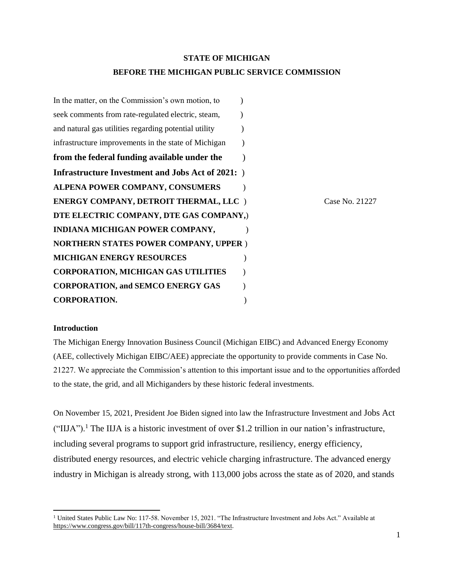## **STATE OF MICHIGAN BEFORE THE MICHIGAN PUBLIC SERVICE COMMISSION**

In the matter, on the Commission's own motion, to  $\qquad$ seek comments from rate-regulated electric, steam, and natural gas utilities regarding potential utility  $\qquad \qquad$  ) infrastructure improvements in the state of Michigan ) **from the federal funding available under the** ) **Infrastructure Investment and Jobs Act of 2021:** ) **ALPENA POWER COMPANY, CONSUMERS** ) **ENERGY COMPANY, DETROIT THERMAL, LLC**  $)$  Case No. 21227 **DTE ELECTRIC COMPANY, DTE GAS COMPANY,**) **INDIANA MICHIGAN POWER COMPANY,** ) **NORTHERN STATES POWER COMPANY, UPPER** ) **MICHIGAN ENERGY RESOURCES** ) **CORPORATION, MICHIGAN GAS UTILITIES** ) **CORPORATION, and SEMCO ENERGY GAS** ) **CORPORATION.** )

#### **Introduction**

The Michigan Energy Innovation Business Council (Michigan EIBC) and Advanced Energy Economy (AEE, collectively Michigan EIBC/AEE) appreciate the opportunity to provide comments in Case No. 21227. We appreciate the Commission's attention to this important issue and to the opportunities afforded to the state, the grid, and all Michiganders by these historic federal investments.

On November 15, 2021, President Joe Biden signed into law the Infrastructure Investment and Jobs Act  $("IIJA")$ .<sup>1</sup> The IIJA is a historic investment of over \$1.2 trillion in our nation's infrastructure, including several programs to support grid infrastructure, resiliency, energy efficiency, distributed energy resources, and electric vehicle charging infrastructure. The advanced energy industry in Michigan is already strong, with 113,000 jobs across the state as of 2020, and stands

<sup>&</sup>lt;sup>1</sup> United States Public Law No: 117-58. November 15, 2021. "The Infrastructure Investment and Jobs Act." Available at [https://www.congress.gov/bill/117th-congress/house-bill/3684/text.](https://www.congress.gov/bill/117th-congress/house-bill/3684/text)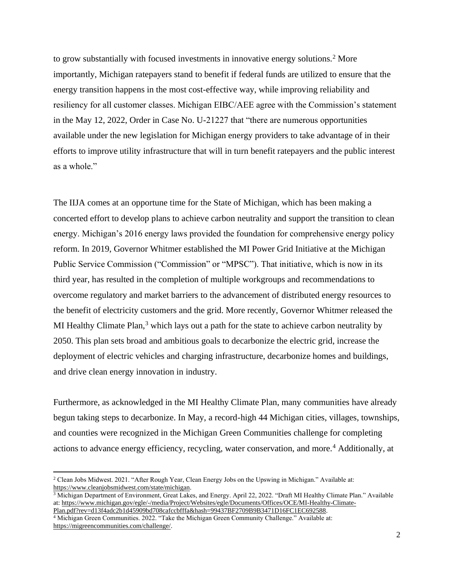to grow substantially with focused investments in innovative energy solutions.<sup>2</sup> More importantly, Michigan ratepayers stand to benefit if federal funds are utilized to ensure that the energy transition happens in the most cost-effective way, while improving reliability and resiliency for all customer classes. Michigan EIBC/AEE agree with the Commission's statement in the May 12, 2022, Order in Case No. U-21227 that "there are numerous opportunities available under the new legislation for Michigan energy providers to take advantage of in their efforts to improve utility infrastructure that will in turn benefit ratepayers and the public interest as a whole."

The IIJA comes at an opportune time for the State of Michigan, which has been making a concerted effort to develop plans to achieve carbon neutrality and support the transition to clean energy. Michigan's 2016 energy laws provided the foundation for comprehensive energy policy reform. In 2019, Governor Whitmer established the MI Power Grid Initiative at the Michigan Public Service Commission ("Commission" or "MPSC"). That initiative, which is now in its third year, has resulted in the completion of multiple workgroups and recommendations to overcome regulatory and market barriers to the advancement of distributed energy resources to the benefit of electricity customers and the grid. More recently, Governor Whitmer released the MI Healthy Climate Plan, $3$  which lays out a path for the state to achieve carbon neutrality by 2050. This plan sets broad and ambitious goals to decarbonize the electric grid, increase the deployment of electric vehicles and charging infrastructure, decarbonize homes and buildings, and drive clean energy innovation in industry.

Furthermore, as acknowledged in the MI Healthy Climate Plan, many communities have already begun taking steps to decarbonize. In May, a record-high 44 Michigan cities, villages, townships, and counties were recognized in the Michigan Green Communities challenge for completing actions to advance energy efficiency, recycling, water conservation, and more.<sup>4</sup> Additionally, at

<sup>2</sup> Clean Jobs Midwest. 2021. "After Rough Year, Clean Energy Jobs on the Upswing in Michigan." Available at: [https://www.cleanjobsmidwest.com/state/michigan.](https://www.cleanjobsmidwest.com/state/michigan)

<sup>&</sup>lt;sup>3</sup> Michigan Department of Environment, Great Lakes, and Energy. April 22, 2022. "Draft MI Healthy Climate Plan." Available at[: https://www.michigan.gov/egle/-/media/Project/Websites/egle/Documents/Offices/OCE/MI-Healthy-Climate-](https://www.michigan.gov/egle/-/media/Project/Websites/egle/Documents/Offices/OCE/MI-Healthy-Climate-Plan.pdf?rev=d13f4adc2b1d45909bd708cafccbfffa&hash=99437BF2709B9B3471D16FC1EC692588)[Plan.pdf?rev=d13f4adc2b1d45909bd708cafccbfffa&hash=99437BF2709B9B3471D16FC1EC692588.](https://www.michigan.gov/egle/-/media/Project/Websites/egle/Documents/Offices/OCE/MI-Healthy-Climate-Plan.pdf?rev=d13f4adc2b1d45909bd708cafccbfffa&hash=99437BF2709B9B3471D16FC1EC692588)

<sup>4</sup> Michigan Green Communities. 2022. "Take the Michigan Green Community Challenge." Available at: [https://migreencommunities.com/challenge/.](https://migreencommunities.com/challenge/)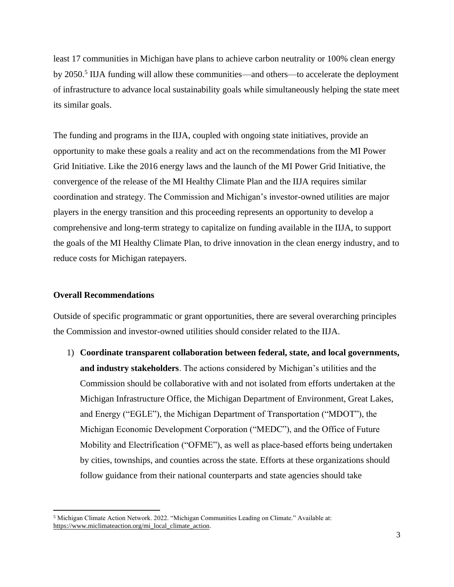least 17 communities in Michigan have plans to achieve carbon neutrality or 100% clean energy by 2050.<sup>5</sup> IIJA funding will allow these communities—and others—to accelerate the deployment of infrastructure to advance local sustainability goals while simultaneously helping the state meet its similar goals.

The funding and programs in the IIJA, coupled with ongoing state initiatives, provide an opportunity to make these goals a reality and act on the recommendations from the MI Power Grid Initiative. Like the 2016 energy laws and the launch of the MI Power Grid Initiative, the convergence of the release of the MI Healthy Climate Plan and the IIJA requires similar coordination and strategy. The Commission and Michigan's investor-owned utilities are major players in the energy transition and this proceeding represents an opportunity to develop a comprehensive and long-term strategy to capitalize on funding available in the IIJA, to support the goals of the MI Healthy Climate Plan, to drive innovation in the clean energy industry, and to reduce costs for Michigan ratepayers.

#### **Overall Recommendations**

Outside of specific programmatic or grant opportunities, there are several overarching principles the Commission and investor-owned utilities should consider related to the IIJA.

1) **Coordinate transparent collaboration between federal, state, and local governments, and industry stakeholders**. The actions considered by Michigan's utilities and the Commission should be collaborative with and not isolated from efforts undertaken at the Michigan Infrastructure Office, the Michigan Department of Environment, Great Lakes, and Energy ("EGLE"), the Michigan Department of Transportation ("MDOT"), the Michigan Economic Development Corporation ("MEDC"), and the Office of Future Mobility and Electrification ("OFME"), as well as place-based efforts being undertaken by cities, townships, and counties across the state. Efforts at these organizations should follow guidance from their national counterparts and state agencies should take

<sup>5</sup> Michigan Climate Action Network. 2022. "Michigan Communities Leading on Climate." Available at: https://www.miclimateaction.org/mi\_local\_climate\_action.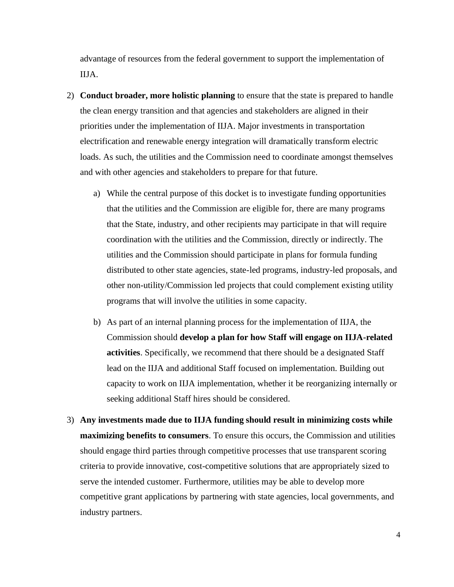advantage of resources from the federal government to support the implementation of IIJA.

- 2) **Conduct broader, more holistic planning** to ensure that the state is prepared to handle the clean energy transition and that agencies and stakeholders are aligned in their priorities under the implementation of IIJA. Major investments in transportation electrification and renewable energy integration will dramatically transform electric loads. As such, the utilities and the Commission need to coordinate amongst themselves and with other agencies and stakeholders to prepare for that future.
	- a) While the central purpose of this docket is to investigate funding opportunities that the utilities and the Commission are eligible for, there are many programs that the State, industry, and other recipients may participate in that will require coordination with the utilities and the Commission, directly or indirectly. The utilities and the Commission should participate in plans for formula funding distributed to other state agencies, state-led programs, industry-led proposals, and other non-utility/Commission led projects that could complement existing utility programs that will involve the utilities in some capacity.
	- b) As part of an internal planning process for the implementation of IIJA, the Commission should **develop a plan for how Staff will engage on IIJA-related activities**. Specifically, we recommend that there should be a designated Staff lead on the IIJA and additional Staff focused on implementation. Building out capacity to work on IIJA implementation, whether it be reorganizing internally or seeking additional Staff hires should be considered.
- 3) **Any investments made due to IIJA funding should result in minimizing costs while maximizing benefits to consumers**. To ensure this occurs, the Commission and utilities should engage third parties through competitive processes that use transparent scoring criteria to provide innovative, cost-competitive solutions that are appropriately sized to serve the intended customer. Furthermore, utilities may be able to develop more competitive grant applications by partnering with state agencies, local governments, and industry partners.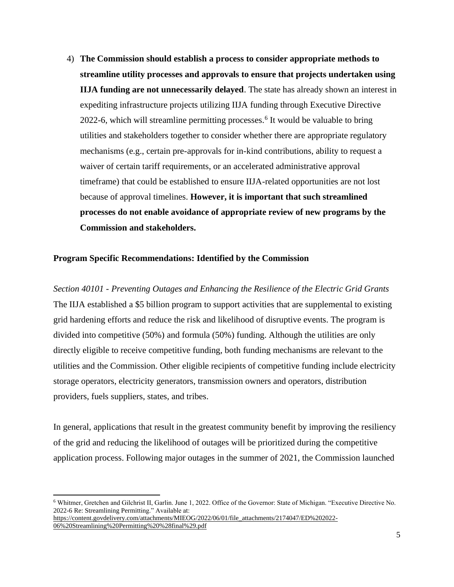4) **The Commission should establish a process to consider appropriate methods to streamline utility processes and approvals to ensure that projects undertaken using IIJA funding are not unnecessarily delayed**. The state has already shown an interest in expediting infrastructure projects utilizing IIJA funding through Executive Directive 2022-6, which will streamline permitting processes.<sup>6</sup> It would be valuable to bring utilities and stakeholders together to consider whether there are appropriate regulatory mechanisms (e.g., certain pre-approvals for in-kind contributions, ability to request a waiver of certain tariff requirements, or an accelerated administrative approval timeframe) that could be established to ensure IIJA-related opportunities are not lost because of approval timelines. **However, it is important that such streamlined processes do not enable avoidance of appropriate review of new programs by the Commission and stakeholders.**

### **Program Specific Recommendations: Identified by the Commission**

*Section 40101 - Preventing Outages and Enhancing the Resilience of the Electric Grid Grants* The IIJA established a \$5 billion program to support activities that are supplemental to existing grid hardening efforts and reduce the risk and likelihood of disruptive events. The program is divided into competitive (50%) and formula (50%) funding. Although the utilities are only directly eligible to receive competitive funding, both funding mechanisms are relevant to the utilities and the Commission. Other eligible recipients of competitive funding include electricity storage operators, electricity generators, transmission owners and operators, distribution providers, fuels suppliers, states, and tribes.

In general, applications that result in the greatest community benefit by improving the resiliency of the grid and reducing the likelihood of outages will be prioritized during the competitive application process. Following major outages in the summer of 2021, the Commission launched

<sup>6</sup> Whitmer, Gretchen and Gilchrist II, Garlin. June 1, 2022. Office of the Governor: State of Michigan. "Executive Directive No. 2022-6 Re: Streamlining Permitting." Available at: https://content.govdelivery.com/attachments/MIEOG/2022/06/01/file\_attachments/2174047/ED%202022- 06%20Streamlining%20Permitting%20%28final%29.pdf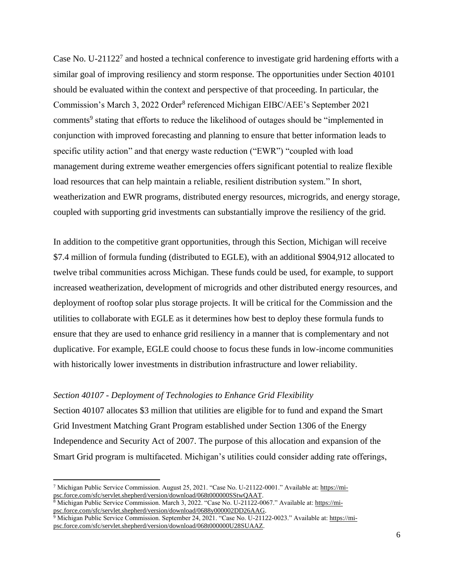Case No. U-21122 $^7$  and hosted a technical conference to investigate grid hardening efforts with a similar goal of improving resiliency and storm response. The opportunities under Section 40101 should be evaluated within the context and perspective of that proceeding. In particular, the Commission's March 3, 2022 Order<sup>8</sup> referenced Michigan EIBC/AEE's September 2021 comments<sup>9</sup> stating that efforts to reduce the likelihood of outages should be "implemented in conjunction with improved forecasting and planning to ensure that better information leads to specific utility action" and that energy waste reduction ("EWR") "coupled with load management during extreme weather emergencies offers significant potential to realize flexible load resources that can help maintain a reliable, resilient distribution system." In short, weatherization and EWR programs, distributed energy resources, microgrids, and energy storage, coupled with supporting grid investments can substantially improve the resiliency of the grid.

In addition to the competitive grant opportunities, through this Section, Michigan will receive \$7.4 million of formula funding (distributed to EGLE), with an additional \$904,912 allocated to twelve tribal communities across Michigan. These funds could be used, for example, to support increased weatherization, development of microgrids and other distributed energy resources, and deployment of rooftop solar plus storage projects. It will be critical for the Commission and the utilities to collaborate with EGLE as it determines how best to deploy these formula funds to ensure that they are used to enhance grid resiliency in a manner that is complementary and not duplicative. For example, EGLE could choose to focus these funds in low-income communities with historically lower investments in distribution infrastructure and lower reliability.

#### *Section 40107 - Deployment of Technologies to Enhance Grid Flexibility*

Section 40107 allocates \$3 million that utilities are eligible for to fund and expand the Smart Grid Investment Matching Grant Program established under Section 1306 of the Energy Independence and Security Act of 2007. The purpose of this allocation and expansion of the Smart Grid program is multifaceted. Michigan's utilities could consider adding rate offerings,

<sup>7</sup> Michigan Public Service Commission. August 25, 2021. "Case No. U-21122-0001." Available at: https://mipsc.force.com/sfc/servlet.shepherd/version/download/068t000000SStwQAAT.

<sup>8</sup> Michigan Public Service Commission. March 3, 2022. "Case No. U-21122-0067." Available at: https://mipsc.force.com/sfc/servlet.shepherd/version/download/0688y000002DD26AAG.

<sup>&</sup>lt;sup>9</sup> Michigan Public Service Commission. September 24, 2021. "Case No. U-21122-0023." Available at: https://mipsc.force.com/sfc/servlet.shepherd/version/download/068t000000U28SUAAZ.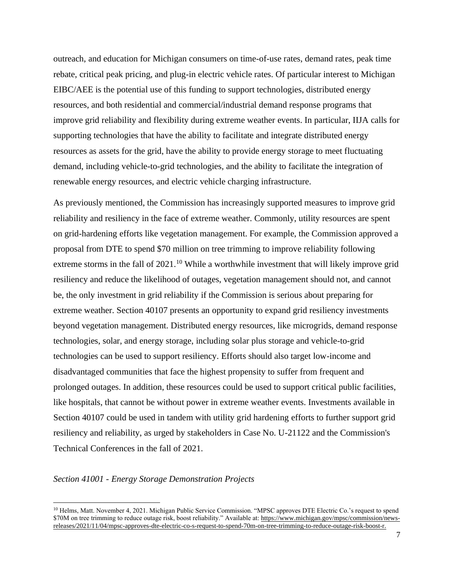outreach, and education for Michigan consumers on time-of-use rates, demand rates, peak time rebate, critical peak pricing, and plug-in electric vehicle rates. Of particular interest to Michigan EIBC/AEE is the potential use of this funding to support technologies, distributed energy resources, and both residential and commercial/industrial demand response programs that improve grid reliability and flexibility during extreme weather events. In particular, IIJA calls for supporting technologies that have the ability to facilitate and integrate distributed energy resources as assets for the grid, have the ability to provide energy storage to meet fluctuating demand, including vehicle-to-grid technologies, and the ability to facilitate the integration of renewable energy resources, and electric vehicle charging infrastructure.

As previously mentioned, the Commission has increasingly supported measures to improve grid reliability and resiliency in the face of extreme weather. Commonly, utility resources are spent on grid-hardening efforts like vegetation management. For example, the Commission approved a proposal from DTE to spend \$70 million on tree trimming to improve reliability following extreme storms in the fall of 2021.<sup>10</sup> While a worthwhile investment that will likely improve grid resiliency and reduce the likelihood of outages, vegetation management should not, and cannot be, the only investment in grid reliability if the Commission is serious about preparing for extreme weather. Section 40107 presents an opportunity to expand grid resiliency investments beyond vegetation management. Distributed energy resources, like microgrids, demand response technologies, solar, and energy storage, including solar plus storage and vehicle-to-grid technologies can be used to support resiliency. Efforts should also target low-income and disadvantaged communities that face the highest propensity to suffer from frequent and prolonged outages. In addition, these resources could be used to support critical public facilities, like hospitals, that cannot be without power in extreme weather events. Investments available in Section 40107 could be used in tandem with utility grid hardening efforts to further support grid resiliency and reliability, as urged by stakeholders in Case No. U-21122 and the Commission's Technical Conferences in the fall of 2021.

### *Section 41001 - Energy Storage Demonstration Projects*

<sup>&</sup>lt;sup>10</sup> Helms, Matt. November 4, 2021. Michigan Public Service Commission. "MPSC approves DTE Electric Co.'s request to spend \$70M on tree trimming to reduce outage risk, boost reliability." Available at: https://www.michigan.gov/mpsc/commission/newsreleases/2021/11/04/mpsc-approves-dte-electric-co-s-request-to-spend-70m-on-tree-trimming-to-reduce-outage-risk-boost-r.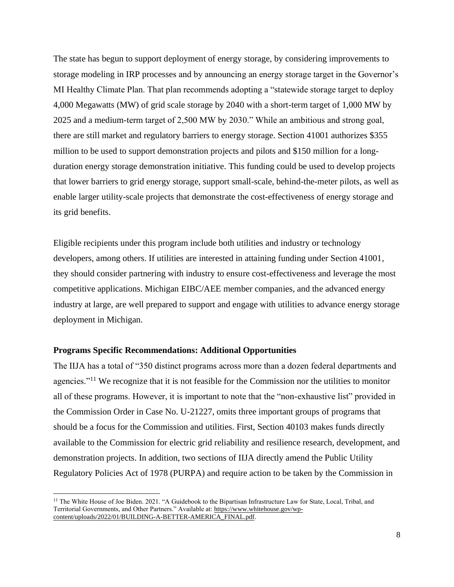The state has begun to support deployment of energy storage, by considering improvements to storage modeling in IRP processes and by announcing an energy storage target in the Governor's MI Healthy Climate Plan. That plan recommends adopting a "statewide storage target to deploy 4,000 Megawatts (MW) of grid scale storage by 2040 with a short-term target of 1,000 MW by 2025 and a medium-term target of 2,500 MW by 2030." While an ambitious and strong goal, there are still market and regulatory barriers to energy storage. Section 41001 authorizes \$355 million to be used to support demonstration projects and pilots and \$150 million for a longduration energy storage demonstration initiative. This funding could be used to develop projects that lower barriers to grid energy storage, support small-scale, behind-the-meter pilots, as well as enable larger utility-scale projects that demonstrate the cost-effectiveness of energy storage and its grid benefits.

Eligible recipients under this program include both utilities and industry or technology developers, among others. If utilities are interested in attaining funding under Section 41001, they should consider partnering with industry to ensure cost-effectiveness and leverage the most competitive applications. Michigan EIBC/AEE member companies, and the advanced energy industry at large, are well prepared to support and engage with utilities to advance energy storage deployment in Michigan.

#### **Programs Specific Recommendations: Additional Opportunities**

The IIJA has a total of "350 distinct programs across more than a dozen federal departments and agencies."<sup>11</sup> We recognize that it is not feasible for the Commission nor the utilities to monitor all of these programs. However, it is important to note that the "non-exhaustive list" provided in the Commission Order in Case No. U-21227, omits three important groups of programs that should be a focus for the Commission and utilities. First, Section 40103 makes funds directly available to the Commission for electric grid reliability and resilience research, development, and demonstration projects. In addition, two sections of IIJA directly amend the Public Utility Regulatory Policies Act of 1978 (PURPA) and require action to be taken by the Commission in

<sup>&</sup>lt;sup>11</sup> The White House of Joe Biden. 2021. "A Guidebook to the Bipartisan Infrastructure Law for State, Local, Tribal, and Territorial Governments, and Other Partners." Available at[: https://www.whitehouse.gov/wp](https://www.whitehouse.gov/wp-content/uploads/2022/01/BUILDING-A-BETTER-AMERICA_FINAL.pdf)[content/uploads/2022/01/BUILDING-A-BETTER-AMERICA\\_FINAL.pdf.](https://www.whitehouse.gov/wp-content/uploads/2022/01/BUILDING-A-BETTER-AMERICA_FINAL.pdf)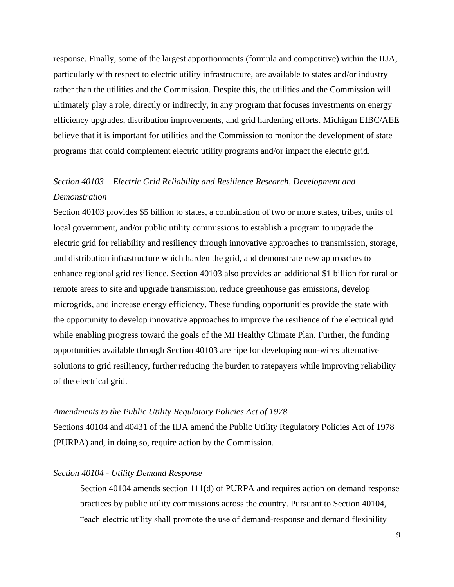response. Finally, some of the largest apportionments (formula and competitive) within the IIJA, particularly with respect to electric utility infrastructure, are available to states and/or industry rather than the utilities and the Commission. Despite this, the utilities and the Commission will ultimately play a role, directly or indirectly, in any program that focuses investments on energy efficiency upgrades, distribution improvements, and grid hardening efforts. Michigan EIBC/AEE believe that it is important for utilities and the Commission to monitor the development of state programs that could complement electric utility programs and/or impact the electric grid.

## *Section 40103 – Electric Grid Reliability and Resilience Research, Development and Demonstration*

Section 40103 provides \$5 billion to states, a combination of two or more states, tribes, units of local government, and/or public utility commissions to establish a program to upgrade the electric grid for reliability and resiliency through innovative approaches to transmission, storage, and distribution infrastructure which harden the grid, and demonstrate new approaches to enhance regional grid resilience. Section 40103 also provides an additional \$1 billion for rural or remote areas to site and upgrade transmission, reduce greenhouse gas emissions, develop microgrids, and increase energy efficiency. These funding opportunities provide the state with the opportunity to develop innovative approaches to improve the resilience of the electrical grid while enabling progress toward the goals of the MI Healthy Climate Plan. Further, the funding opportunities available through Section 40103 are ripe for developing non-wires alternative solutions to grid resiliency, further reducing the burden to ratepayers while improving reliability of the electrical grid.

#### *Amendments to the Public Utility Regulatory Policies Act of 1978*

Sections 40104 and 40431 of the IIJA amend the Public Utility Regulatory Policies Act of 1978 (PURPA) and, in doing so, require action by the Commission.

#### *Section 40104 - Utility Demand Response*

Section 40104 amends section 111(d) of PURPA and requires action on demand response practices by public utility commissions across the country. Pursuant to Section 40104, "each electric utility shall promote the use of demand-response and demand flexibility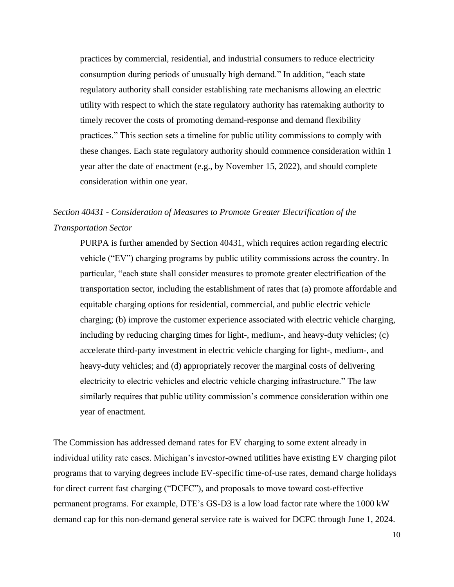practices by commercial, residential, and industrial consumers to reduce electricity consumption during periods of unusually high demand." In addition, "each state regulatory authority shall consider establishing rate mechanisms allowing an electric utility with respect to which the state regulatory authority has ratemaking authority to timely recover the costs of promoting demand-response and demand flexibility practices." This section sets a timeline for public utility commissions to comply with these changes. Each state regulatory authority should commence consideration within 1 year after the date of enactment (e.g., by November 15, 2022), and should complete consideration within one year.

# *Section 40431 - Consideration of Measures to Promote Greater Electrification of the Transportation Sector*

PURPA is further amended by Section 40431, which requires action regarding electric vehicle ("EV") charging programs by public utility commissions across the country. In particular, "each state shall consider measures to promote greater electrification of the transportation sector, including the establishment of rates that (a) promote affordable and equitable charging options for residential, commercial, and public electric vehicle charging; (b) improve the customer experience associated with electric vehicle charging, including by reducing charging times for light-, medium-, and heavy-duty vehicles; (c) accelerate third-party investment in electric vehicle charging for light-, medium-, and heavy-duty vehicles; and (d) appropriately recover the marginal costs of delivering electricity to electric vehicles and electric vehicle charging infrastructure." The law similarly requires that public utility commission's commence consideration within one year of enactment.

The Commission has addressed demand rates for EV charging to some extent already in individual utility rate cases. Michigan's investor-owned utilities have existing EV charging pilot programs that to varying degrees include EV-specific time-of-use rates, demand charge holidays for direct current fast charging ("DCFC"), and proposals to move toward cost-effective permanent programs. For example, DTE's GS-D3 is a low load factor rate where the 1000 kW demand cap for this non-demand general service rate is waived for DCFC through June 1, 2024.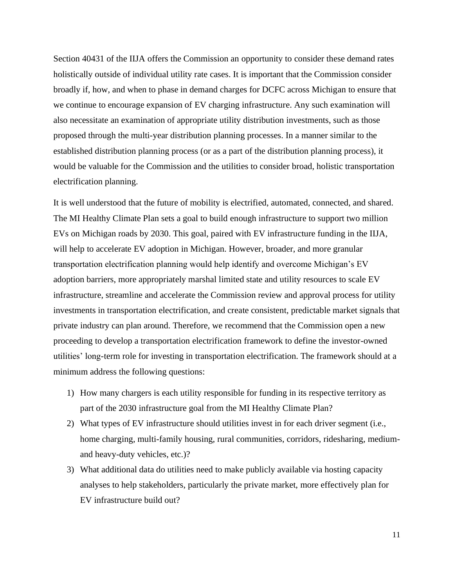Section 40431 of the IIJA offers the Commission an opportunity to consider these demand rates holistically outside of individual utility rate cases. It is important that the Commission consider broadly if, how, and when to phase in demand charges for DCFC across Michigan to ensure that we continue to encourage expansion of EV charging infrastructure. Any such examination will also necessitate an examination of appropriate utility distribution investments, such as those proposed through the multi-year distribution planning processes. In a manner similar to the established distribution planning process (or as a part of the distribution planning process), it would be valuable for the Commission and the utilities to consider broad, holistic transportation electrification planning.

It is well understood that the future of mobility is electrified, automated, connected, and shared. The MI Healthy Climate Plan sets a goal to build enough infrastructure to support two million EVs on Michigan roads by 2030. This goal, paired with EV infrastructure funding in the IIJA, will help to accelerate EV adoption in Michigan. However, broader, and more granular transportation electrification planning would help identify and overcome Michigan's EV adoption barriers, more appropriately marshal limited state and utility resources to scale EV infrastructure, streamline and accelerate the Commission review and approval process for utility investments in transportation electrification, and create consistent, predictable market signals that private industry can plan around. Therefore, we recommend that the Commission open a new proceeding to develop a transportation electrification framework to define the investor-owned utilities' long-term role for investing in transportation electrification. The framework should at a minimum address the following questions:

- 1) How many chargers is each utility responsible for funding in its respective territory as part of the 2030 infrastructure goal from the MI Healthy Climate Plan?
- 2) What types of EV infrastructure should utilities invest in for each driver segment (i.e., home charging, multi-family housing, rural communities, corridors, ridesharing, mediumand heavy-duty vehicles, etc.)?
- 3) What additional data do utilities need to make publicly available via hosting capacity analyses to help stakeholders, particularly the private market, more effectively plan for EV infrastructure build out?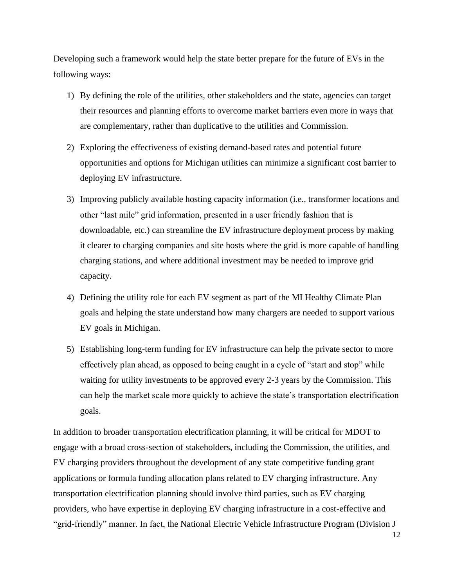Developing such a framework would help the state better prepare for the future of EVs in the following ways:

- 1) By defining the role of the utilities, other stakeholders and the state, agencies can target their resources and planning efforts to overcome market barriers even more in ways that are complementary, rather than duplicative to the utilities and Commission.
- 2) Exploring the effectiveness of existing demand-based rates and potential future opportunities and options for Michigan utilities can minimize a significant cost barrier to deploying EV infrastructure.
- 3) Improving publicly available hosting capacity information (i.e., transformer locations and other "last mile" grid information, presented in a user friendly fashion that is downloadable, etc.) can streamline the EV infrastructure deployment process by making it clearer to charging companies and site hosts where the grid is more capable of handling charging stations, and where additional investment may be needed to improve grid capacity.
- 4) Defining the utility role for each EV segment as part of the MI Healthy Climate Plan goals and helping the state understand how many chargers are needed to support various EV goals in Michigan.
- 5) Establishing long-term funding for EV infrastructure can help the private sector to more effectively plan ahead, as opposed to being caught in a cycle of "start and stop" while waiting for utility investments to be approved every 2-3 years by the Commission. This can help the market scale more quickly to achieve the state's transportation electrification goals.

In addition to broader transportation electrification planning, it will be critical for MDOT to engage with a broad cross-section of stakeholders, including the Commission, the utilities, and EV charging providers throughout the development of any state competitive funding grant applications or formula funding allocation plans related to EV charging infrastructure. Any transportation electrification planning should involve third parties, such as EV charging providers, who have expertise in deploying EV charging infrastructure in a cost-effective and "grid-friendly" manner. In fact, the National Electric Vehicle Infrastructure Program (Division J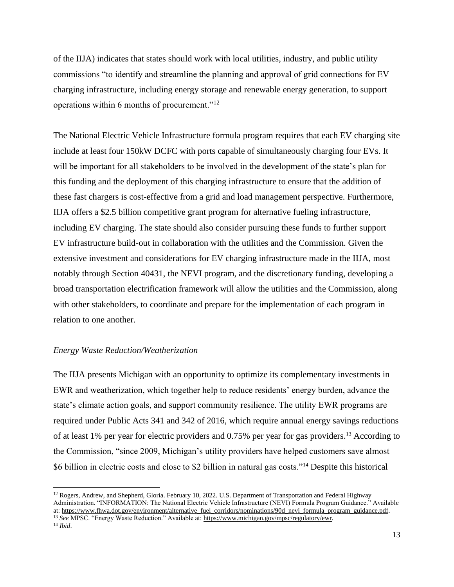of the IIJA) indicates that states should work with local utilities, industry, and public utility commissions "to identify and streamline the planning and approval of grid connections for EV charging infrastructure, including energy storage and renewable energy generation, to support operations within 6 months of procurement."<sup>12</sup>

The National Electric Vehicle Infrastructure formula program requires that each EV charging site include at least four 150kW DCFC with ports capable of simultaneously charging four EVs. It will be important for all stakeholders to be involved in the development of the state's plan for this funding and the deployment of this charging infrastructure to ensure that the addition of these fast chargers is cost-effective from a grid and load management perspective. Furthermore, IIJA offers a \$2.5 billion competitive grant program for alternative fueling infrastructure, including EV charging. The state should also consider pursuing these funds to further support EV infrastructure build-out in collaboration with the utilities and the Commission. Given the extensive investment and considerations for EV charging infrastructure made in the IIJA, most notably through Section 40431, the NEVI program, and the discretionary funding, developing a broad transportation electrification framework will allow the utilities and the Commission, along with other stakeholders, to coordinate and prepare for the implementation of each program in relation to one another.

#### *Energy Waste Reduction/Weatherization*

The IIJA presents Michigan with an opportunity to optimize its complementary investments in EWR and weatherization, which together help to reduce residents' energy burden, advance the state's climate action goals, and support community resilience. The utility EWR programs are required under Public Acts 341 and 342 of 2016, which require annual energy savings reductions of at least 1% per year for electric providers and 0.75% per year for gas providers.<sup>13</sup> According to the Commission, "since 2009, Michigan's utility providers have helped customers save almost \$6 billion in electric costs and close to \$2 billion in natural gas costs."<sup>14</sup> Despite this historical

 $12$  Rogers, Andrew, and Shepherd, Gloria. February 10, 2022. U.S. Department of Transportation and Federal Highway Administration. "INFORMATION: The National Electric Vehicle Infrastructure (NEVI) Formula Program Guidance." Available at[: https://www.fhwa.dot.gov/environment/alternative\\_fuel\\_corridors/nominations/90d\\_nevi\\_formula\\_program\\_guidance.pdf.](https://www.fhwa.dot.gov/environment/alternative_fuel_corridors/nominations/90d_nevi_formula_program_guidance.pdf)

<sup>13</sup> *See* MPSC. "Energy Waste Reduction." Available at[: https://www.michigan.gov/mpsc/regulatory/ewr.](https://www.michigan.gov/mpsc/regulatory/ewr) <sup>14</sup> *Ibid*.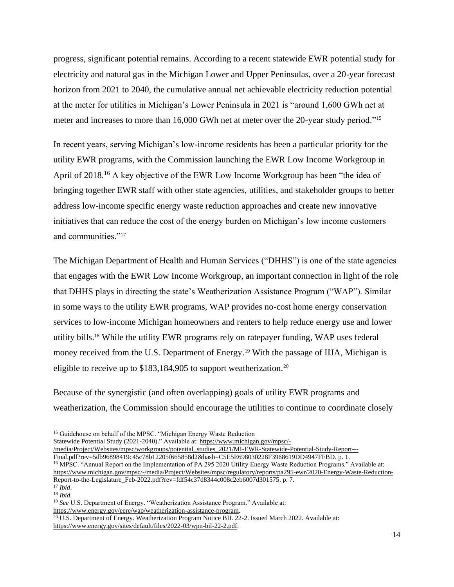progress, significant potential remains. According to a recent statewide EWR potential study for electricity and natural gas in the Michigan Lower and Upper Peninsulas, over a 20-year forecast horizon from 2021 to 2040, the cumulative annual net achievable electricity reduction potential at the meter for utilities in Michigan's Lower Peninsula in 2021 is "around 1,600 GWh net at meter and increases to more than 16,000 GWh net at meter over the 20-year study period."<sup>15</sup>

In recent years, serving Michigan's low-income residents has been a particular priority for the utility EWR programs, with the Commission launching the EWR Low Income Workgroup in April of 2018.<sup>16</sup> A key objective of the EWR Low Income Workgroup has been "the idea of bringing together EWR staff with other state agencies, utilities, and stakeholder groups to better address low-income specific energy waste reduction approaches and create new innovative initiatives that can reduce the cost of the energy burden on Michigan's low income customers and communities."<sup>17</sup>

The Michigan Department of Health and Human Services ("DHHS") is one of the state agencies that engages with the EWR Low Income Workgroup, an important connection in light of the role that DHHS plays in directing the state's Weatherization Assistance Program ("WAP"). Similar in some ways to the utility EWR programs, WAP provides no-cost home energy conservation services to low-income Michigan homeowners and renters to help reduce energy use and lower utility bills.<sup>18</sup> While the utility EWR programs rely on ratepayer funding, WAP uses federal money received from the U.S. Department of Energy.<sup>19</sup> With the passage of IIJA, Michigan is eligible to receive up to \$183,184,905 to support weatherization.<sup>20</sup>

Because of the synergistic (and often overlapping) goals of utility EWR programs and weatherization, the Commission should encourage the utilities to continue to coordinate closely

Statewide Potential Study (2021-2040)." Available at[: https://www.michigan.gov/mpsc/-](https://www.michigan.gov/mpsc/-/media/Project/Websites/mpsc/workgroups/potential_studies_2021/MI-EWR-Statewide-Potential-Study-Report---Final.pdf?rev=5db96898419c45c78b12205f665858d2&hash=C5E5E698030228F3968619DD4947FFBD) [/media/Project/Websites/mpsc/workgroups/potential\\_studies\\_2021/MI-EWR-Statewide-Potential-Study-Report---](https://www.michigan.gov/mpsc/-/media/Project/Websites/mpsc/workgroups/potential_studies_2021/MI-EWR-Statewide-Potential-Study-Report---Final.pdf?rev=5db96898419c45c78b12205f665858d2&hash=C5E5E698030228F3968619DD4947FFBD) [Final.pdf?rev=5db96898419c45c78b12205f665858d2&hash=C5E5E698030228F3968619DD4947FFBD.](https://www.michigan.gov/mpsc/-/media/Project/Websites/mpsc/workgroups/potential_studies_2021/MI-EWR-Statewide-Potential-Study-Report---Final.pdf?rev=5db96898419c45c78b12205f665858d2&hash=C5E5E698030228F3968619DD4947FFBD) p. 1.

<sup>16</sup> MPSC. "Annual Report on the Implementation of PA 295 2020 Utility Energy Waste Reduction Programs." Available at: [https://www.michigan.gov/mpsc/-/media/Project/Websites/mpsc/regulatory/reports/pa295-ewr/2020-Energy-Waste-Reduction-](https://www.michigan.gov/mpsc/-/media/Project/Websites/mpsc/regulatory/reports/pa295-ewr/2020-Energy-Waste-Reduction-Report-to-the-Legislature_Feb-2022.pdf?rev=fdf54c37d8344c008c2eb6007d301575)[Report-to-the-Legislature\\_Feb-2022.pdf?rev=fdf54c37d8344c008c2eb6007d301575.](https://www.michigan.gov/mpsc/-/media/Project/Websites/mpsc/regulatory/reports/pa295-ewr/2020-Energy-Waste-Reduction-Report-to-the-Legislature_Feb-2022.pdf?rev=fdf54c37d8344c008c2eb6007d301575) p. 7.

<sup>19</sup> See U.S. Department of Energy. "Weatherization Assistance Program." Available at: [https://www.energy.gov/eere/wap/weatherization-assistance-program.](https://www.energy.gov/eere/wap/weatherization-assistance-program)

<sup>20</sup> U.S. Department of Energy. Weatherization Program Notice BIL 22-2. Issued March 2022. Available at: [https://www.energy.gov/sites/default/files/2022-03/wpn-bil-22-2.pdf.](https://www.energy.gov/sites/default/files/2022-03/wpn-bil-22-2.pdf)

<sup>&</sup>lt;sup>15</sup> Guidehouse on behalf of the MPSC. "Michigan Energy Waste Reduction

<sup>17</sup> *Ibid*.

<sup>18</sup> *Ibid.*